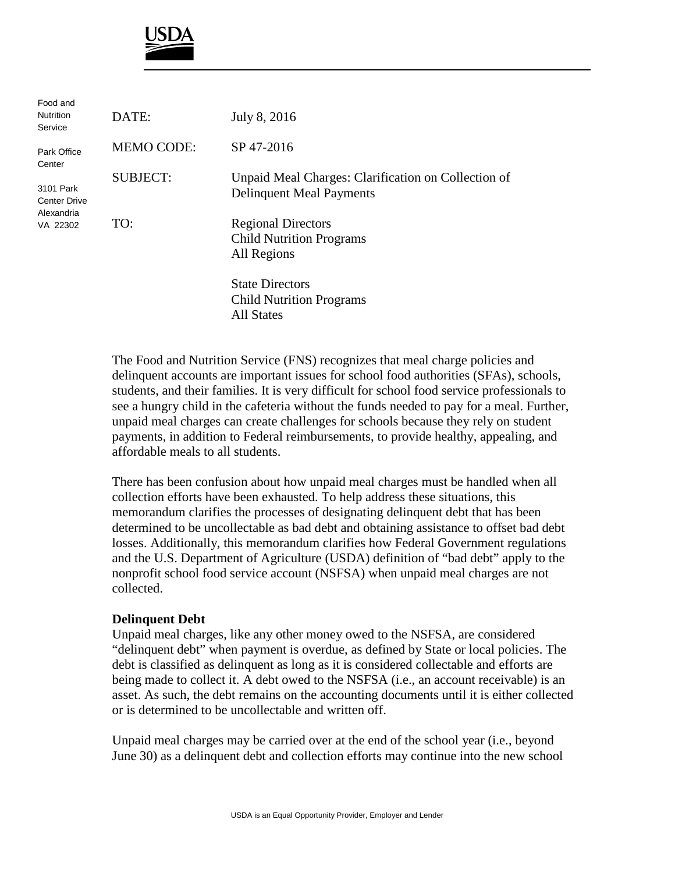

| Food and<br><b>Nutrition</b><br>Service                    | DATE:             | July 8, 2016                                                                           |
|------------------------------------------------------------|-------------------|----------------------------------------------------------------------------------------|
| Park Office<br>Center                                      | <b>MEMO CODE:</b> | SP 47-2016                                                                             |
| 3101 Park<br><b>Center Drive</b><br>Alexandria<br>VA 22302 | <b>SUBJECT:</b>   | Unpaid Meal Charges: Clarification on Collection of<br><b>Delinquent Meal Payments</b> |
|                                                            | TO:               | <b>Regional Directors</b><br><b>Child Nutrition Programs</b><br>All Regions            |
|                                                            |                   | <b>State Directors</b><br><b>Child Nutrition Programs</b><br><b>All States</b>         |

The Food and Nutrition Service (FNS) recognizes that meal charge policies and delinquent accounts are important issues for school food authorities (SFAs), schools, students, and their families. It is very difficult for school food service professionals to see a hungry child in the cafeteria without the funds needed to pay for a meal. Further, unpaid meal charges can create challenges for schools because they rely on student payments, in addition to Federal reimbursements, to provide healthy, appealing, and affordable meals to all students.

There has been confusion about how unpaid meal charges must be handled when all collection efforts have been exhausted. To help address these situations, this memorandum clarifies the processes of designating delinquent debt that has been determined to be uncollectable as bad debt and obtaining assistance to offset bad debt losses. Additionally, this memorandum clarifies how Federal Government regulations and the U.S. Department of Agriculture (USDA) definition of "bad debt" apply to the nonprofit school food service account (NSFSA) when unpaid meal charges are not collected.

## **Delinquent Debt**

Unpaid meal charges, like any other money owed to the NSFSA, are considered "delinquent debt" when payment is overdue, as defined by State or local policies. The debt is classified as delinquent as long as it is considered collectable and efforts are being made to collect it. A debt owed to the NSFSA (i.e., an account receivable) is an asset. As such, the debt remains on the accounting documents until it is either collected or is determined to be uncollectable and written off.

Unpaid meal charges may be carried over at the end of the school year (i.e., beyond June 30) as a delinquent debt and collection efforts may continue into the new school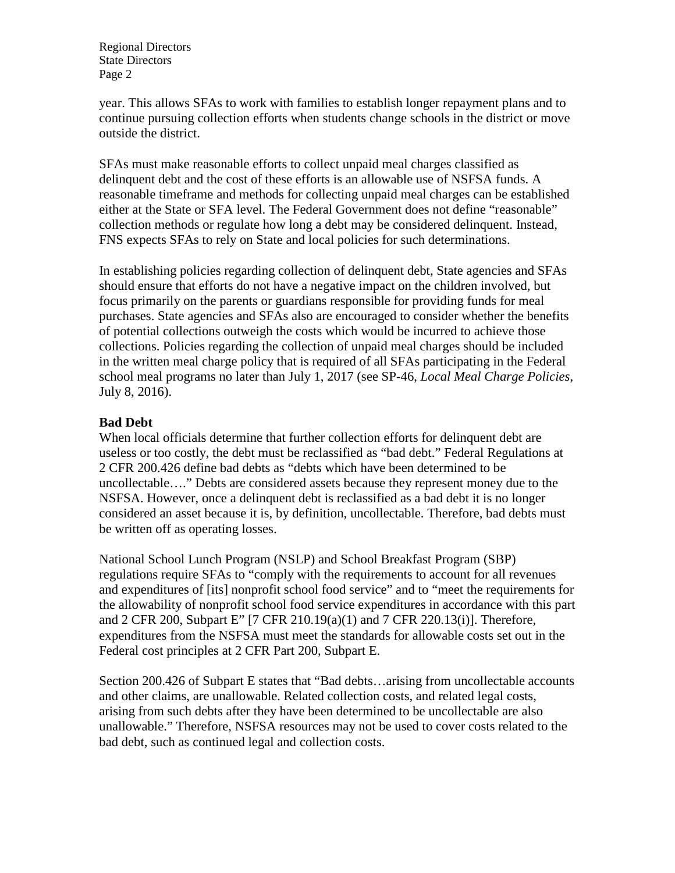Regional Directors State Directors Page 2

year. This allows SFAs to work with families to establish longer repayment plans and to continue pursuing collection efforts when students change schools in the district or move outside the district.

SFAs must make reasonable efforts to collect unpaid meal charges classified as delinquent debt and the cost of these efforts is an allowable use of NSFSA funds. A reasonable timeframe and methods for collecting unpaid meal charges can be established either at the State or SFA level. The Federal Government does not define "reasonable" collection methods or regulate how long a debt may be considered delinquent. Instead, FNS expects SFAs to rely on State and local policies for such determinations.

In establishing policies regarding collection of delinquent debt, State agencies and SFAs should ensure that efforts do not have a negative impact on the children involved, but focus primarily on the parents or guardians responsible for providing funds for meal purchases. State agencies and SFAs also are encouraged to consider whether the benefits of potential collections outweigh the costs which would be incurred to achieve those collections. Policies regarding the collection of unpaid meal charges should be included in the written meal charge policy that is required of all SFAs participating in the Federal school meal programs no later than July 1, 2017 (see SP-46, *Local Meal Charge Policies*, July 8, 2016).

## **Bad Debt**

When local officials determine that further collection efforts for delinquent debt are useless or too costly, the debt must be reclassified as "bad debt." Federal Regulations at 2 CFR 200.426 define bad debts as "debts which have been determined to be uncollectable…." Debts are considered assets because they represent money due to the NSFSA. However, once a delinquent debt is reclassified as a bad debt it is no longer considered an asset because it is, by definition, uncollectable. Therefore, bad debts must be written off as operating losses.

National School Lunch Program (NSLP) and School Breakfast Program (SBP) regulations require SFAs to "comply with the requirements to account for all revenues and expenditures of [its] nonprofit school food service" and to "meet the requirements for the allowability of nonprofit school food service expenditures in accordance with this part and 2 CFR 200, Subpart E" [7 CFR 210.19(a)(1) and 7 CFR 220.13(i)]. Therefore, expenditures from the NSFSA must meet the standards for allowable costs set out in the Federal cost principles at 2 CFR Part 200, Subpart E.

Section 200.426 of Subpart E states that "Bad debts…arising from uncollectable accounts and other claims, are unallowable. Related collection costs, and related legal costs, arising from such debts after they have been determined to be uncollectable are also unallowable." Therefore, NSFSA resources may not be used to cover costs related to the bad debt, such as continued legal and collection costs.